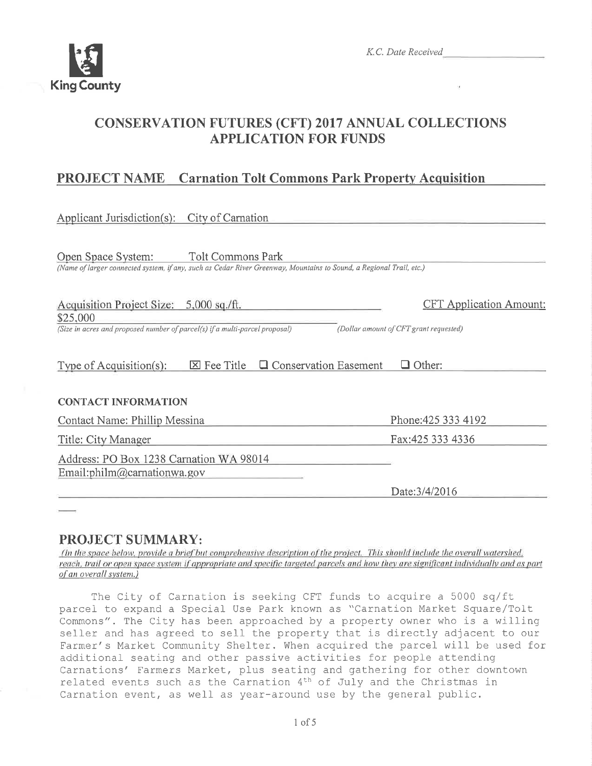

# CONSERVATTON FUTURES (CFT) 2017 ANNUAL COLLECTTONS APPLICATION FOR FUNDS

# PROJECT NAME Carnation Tolt Commons Park Propertv Acquisition

| <b>Tolt Commons Park</b><br>Open Space System:<br>(Name of larger connected system, if any, such as Cedar River Greenway, Mountains to Sound, a Regional Trail, etc.) |  |
|-----------------------------------------------------------------------------------------------------------------------------------------------------------------------|--|
|                                                                                                                                                                       |  |
| Acquisition Project Size: 5,000 sq./ft.<br><b>CFT</b> Application Amount:                                                                                             |  |
| \$25,000<br>(Size in acres and proposed number of parcel(s) if a multi-parcel proposal)<br>(Dollar amount of CFT grant requested)                                     |  |
| <b>Q</b> Conservation Easement<br>$\Box$ Other:<br>$\boxtimes$ Fee Title<br>Type of Acquisition $(s)$ :                                                               |  |
| <b>CONTACT INFORMATION</b>                                                                                                                                            |  |
| Phone: 425 333 4192<br>Contact Name: Phillip Messina                                                                                                                  |  |
| Fax: 425 333 4336<br>Title: City Manager                                                                                                                              |  |
| Address: PO Box 1238 Carnation WA 98014<br>Email:philm@carnationwa.gov                                                                                                |  |
| Date: 3/4/2016                                                                                                                                                        |  |

**PROJECT SUMMARY:**<br>(In the space below, provide a brief but comprehensive description of the project. This should include the overall watershed. reach, trail or open space system if appropriate and specific targeted parcels and how they are significant individually and as part of an overall system.)

The City of Carnation is seeking CFT funds to acquire a 5000 sq/ft parcel to expand a Special Use Park known as "Carnation Market Square/Tolt Commons". The City has been approached by a property owner who is a willing seller and has agreed to sell the property that is directly adjacent to our Farmer's Market Community Shelter. When acquired the parcel will be used for additional seating and other passive activities for people attending Carnations' Farmers Market, plus seating and gathering for other downtown related events such as the Carnation  $4<sup>th</sup>$  of July and the Christmas in Carnation event, as well as year-around use by the general public.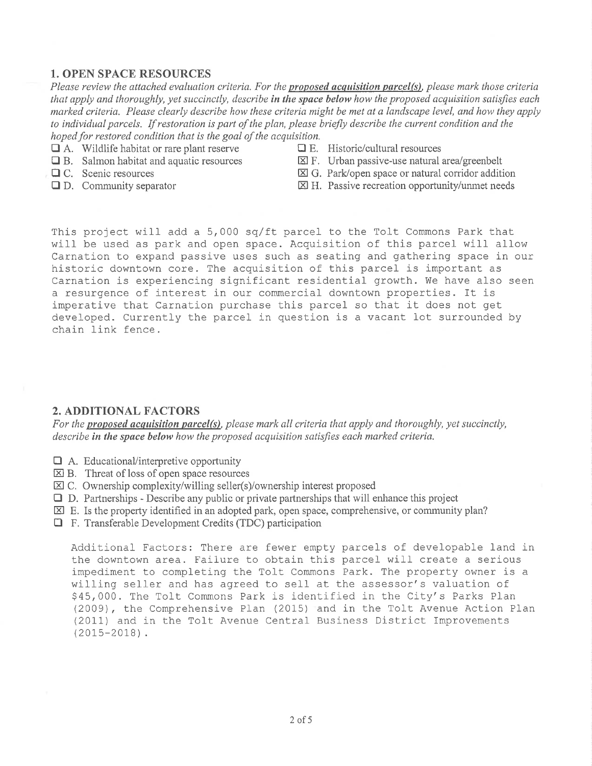### 1. OPEN SPACE RESOURCES

Please review the attached evaluation criteria. For the proposed acquisition parcel(s), please mark those criteria that apply and thoroughly, yet succinctly, describe in the space below how the proposed acquisition satisfies each marked criteria. Please clearly describe how these criteria might be met at a landscape level, and how they apply to individual parcels. If restoration is part of the plan, please briefly describe the current condition and the hoped for restored condition that is the goal of the acquisition.

- $\Box$  A. Wildlife habitat or rare plant reserve  $\Box$  E. Historic/cultural resources
- 
- 
- 
- 
- $\Box$  B. Salmon habitat and aquatic resources  $\boxtimes$  F. Urban passive-use natural area/greenbelt
- $\Box$  C. Scenic resources  $\Box$  G. Park/open space or natural corridor addition
- $\Box$  D. Community separator  $\boxtimes$  H. Passive recreation opportunity/unmet needs

This project will add a 5,000 sq/ft parcel to the Tolt Commons Park that. will be used as park and open space. Acquisition of this parcel will allow Carnation to expand passive uses such as seating and gathering space in our historic downtown core. The acquisition of this parcel is important as Carnation is experiencing significant residential growth. We have also seen a resurgence of interest in our commercial downtown properties. It is imperative that Carnation purchase this parcel so that it does not get developed. Currently the parcel in question is a vacant lot surrounded by chain link fence.

#### 2. ADDITIONAL FACTORS

For the **proposed acquisition parcel(s)**, please mark all criteria that apply and thoroughly, yet succinctly, describe in the space below how the proposed acquisition satisfies each marked criteria.

- $\Box$  A. Educational/interpretive opportunity
- $\boxtimes$  B. Threat of loss of open space resources
- $\boxtimes$  C. Ownership complexity/willing seller(s)/ownership interest proposed
- $\Box$  D. Partnerships Describe any public or private partnerships that will enhance this project
- $\boxtimes$  E. Is the property identified in an adopted park, open space, comprehensive, or community plan?
- $\Box$  F. Transferable Development Credits (TDC) participation

Additional Factors: There are fewer empty parcels of developable land in the downtown area. Failure to obtain this parcel will create a serious impediment to completing the Tolt Commons Park. The property owner is a willing seller and has agreed to sell at the assessor's valuation of \$45,000. The Tolt Commons Park is identified in the City's Parks Plan (2009), the Comprehensive Plan (2015) and in the ToIt Avenue Action PIan (2011) and in the Tolt Avenue Central Business District Improvements (2015-2018).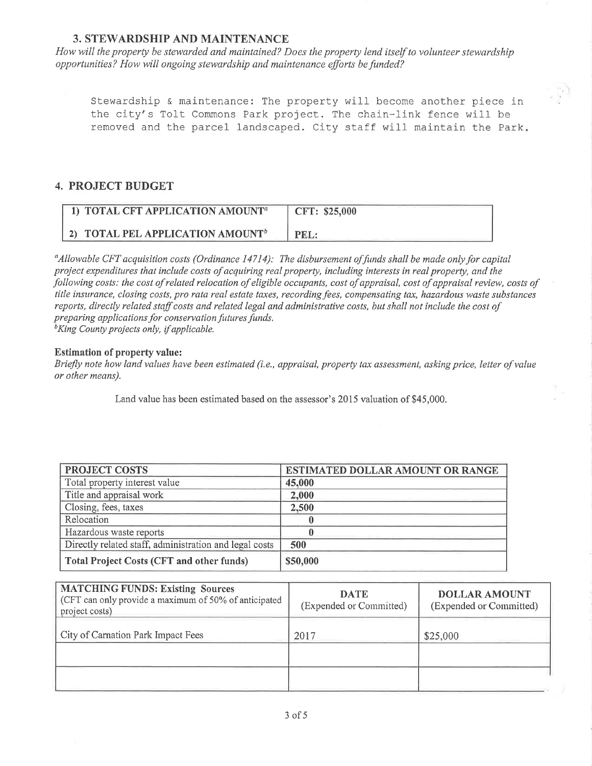### **3. STEWARDSHIP AND MAINTENANCE**

How will the property be stewarded and maintained? Does the property lend itself to volunteer stewardship opportunities? How will ongoing stewardship and maintenance efforts befimded?

Stewardship & maintenance: The property will become another piece in the city's Tolt Commons Park project. The chain-link fence will be removed and the parcel landscaped. City staff will maintain the Park.

### 4. PROJECT BUDGET

| 1) TOTAL CFT APPLICATION AMOUNT <sup>a</sup> | CFT: \$25,000 |
|----------------------------------------------|---------------|
| 2) TOTAL PEL APPLICATION AMOUNT <sup>b</sup> |               |

 $\alpha_A$ llowable CFT acquisition costs (Ordinance 14714): The disbursement of funds shall be made only for capital project expenditures that include costs of acquiring real property, including interests in real property, and the following costs: the cost of related relocation of eligible occupants, cost of appraisal, cost of appraisal review, costs of title insurance, closing costs, pro rata real estate taxes, recording fees, compensating tax, hazardous waste substances reports, directly related staff costs and related legal and administrqtive costs, but shall not include the cost of preparing applications for conservation futures funds.<br><sup>b</sup>King County projects only, if applicable.

#### Estimation of property value:

Briefly note how land values have been estimated (i.e., appraisal, property tax assessment, asking price, letter of value or other means).

Land value has been estimated based on the assessor's 2015 valuation of \$45,000.

| <b>PROJECT COSTS</b>                                   | ESTIMATED DOLLAR AMOUNT OR RANGE |
|--------------------------------------------------------|----------------------------------|
| Total property interest value                          | 45,000                           |
| Title and appraisal work                               | 2,000                            |
| Closing, fees, taxes                                   | 2,500                            |
| Relocation                                             |                                  |
| Hazardous waste reports                                |                                  |
| Directly related staff, administration and legal costs | 500                              |
| Total Project Costs (CFT and other funds)              | \$50,000                         |

| <b>MATCHING FUNDS: Existing Sources</b><br>(CFT can only provide a maximum of 50% of anticipated<br>project costs) | <b>DATE</b><br>(Expended or Committed) | <b>DOLLAR AMOUNT</b><br>(Expended or Committed) |
|--------------------------------------------------------------------------------------------------------------------|----------------------------------------|-------------------------------------------------|
| City of Carnation Park Impact Fees                                                                                 | 2017                                   | \$25,000                                        |
|                                                                                                                    |                                        |                                                 |
|                                                                                                                    |                                        |                                                 |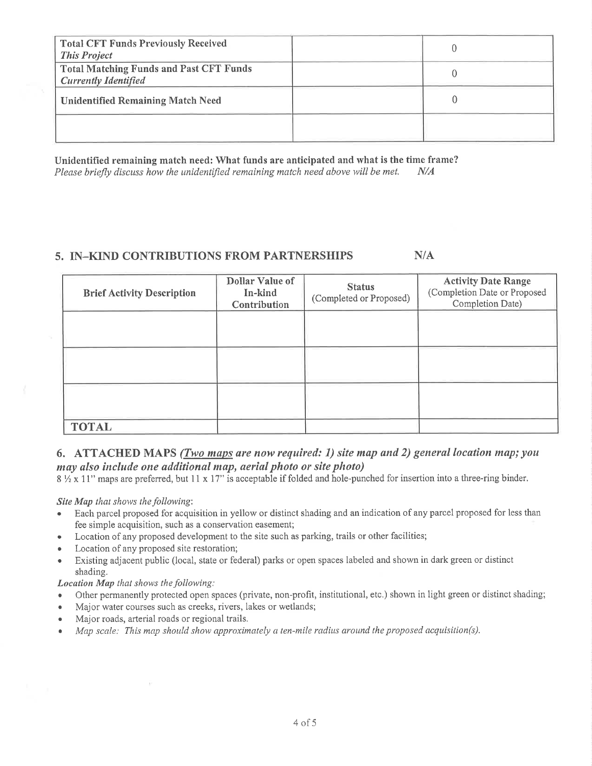| <b>Total CFT Funds Previously Received</b><br><b>This Project</b>             |  |
|-------------------------------------------------------------------------------|--|
| <b>Total Matching Funds and Past CFT Funds</b><br><b>Currently Identified</b> |  |
| <b>Unidentified Remaining Match Need</b>                                      |  |
|                                                                               |  |

Unidentified remaining match need: What funds are anticipated and what is the time frame? Please briefly discuss how the unidentified remaining match need above will be met.  $N/A$ 

## 5. IN-KIND CONTRIBUTIONS FROM PARTNERSHIPS

 $N/A$ 

| <b>Brief Activity Description</b> | Dollar Value of<br>In-kind<br>Contribution | <b>Status</b><br>(Completed or Proposed) | <b>Activity Date Range</b><br>(Completion Date or Proposed<br>Completion Date) |
|-----------------------------------|--------------------------------------------|------------------------------------------|--------------------------------------------------------------------------------|
|                                   |                                            |                                          |                                                                                |
|                                   |                                            |                                          |                                                                                |
|                                   |                                            |                                          |                                                                                |
| <b>TOTAL</b>                      |                                            |                                          |                                                                                |

## 6. ATTACHED MAPS (Two maps are now required: 1) site map and 2) general location map; you may also include one additional map, aerial photo or site photo)

 $8\frac{1}{2} \times 11$ " maps are preferred, but 11 x 17" is acceptable if folded and hole-punched for insertion into a three-ring binder.

Site Map that shows the following:

- Each parcel proposed for acquisition in yellow or distinct shading and an indication of any parcel proposed for less than  $\bullet$ fee simple acquisition, such as a conservation easement;
- Location of any proposed development to the site such as parking, trails or other facilities;  $\bullet$
- Location of any proposed site restoration;  $\bullet$
- Existing adjacent public (local, state or federal) parks or open spaces labeled and shown in dark green or distinct  $\bullet$ shading.

**Location Map that shows the following:** 

- Other permanently protected open spaces (private, non-profit, institutional, etc.) shown in light green or distinct shading;  $\bullet$
- Major water courses such as creeks, rivers, lakes or wetlands;  $\bullet$
- Major roads, arterial roads or regional trails.  $\bullet$
- Map scale: This map should show approximately a ten-mile radius around the proposed acquisition(s).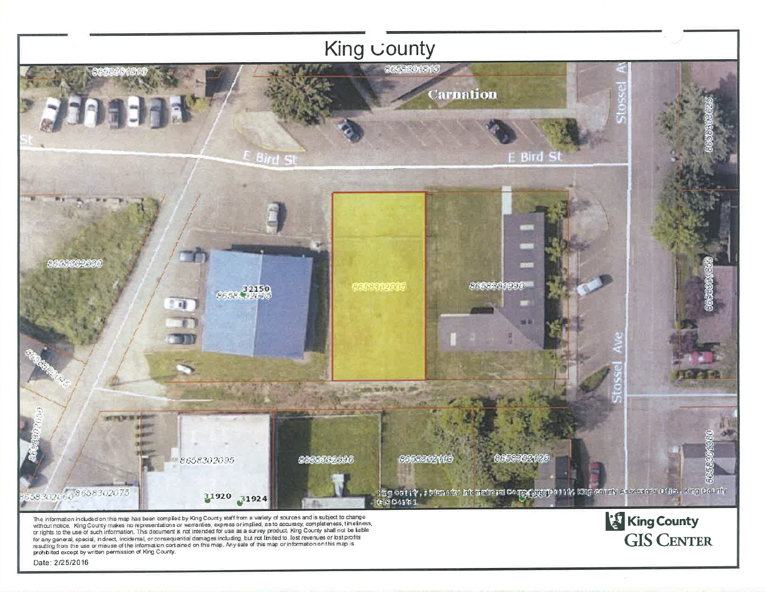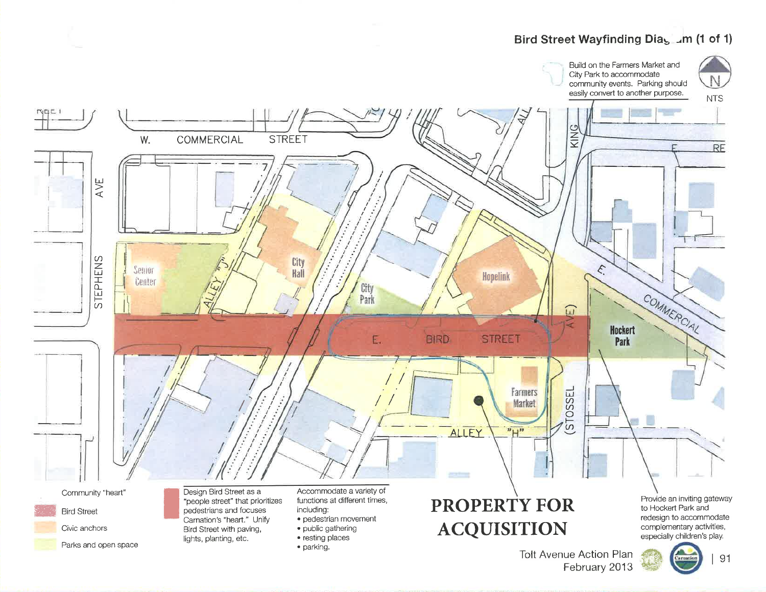# Bird Street Wayfinding Dias ... m (1 of 1)



February 2013